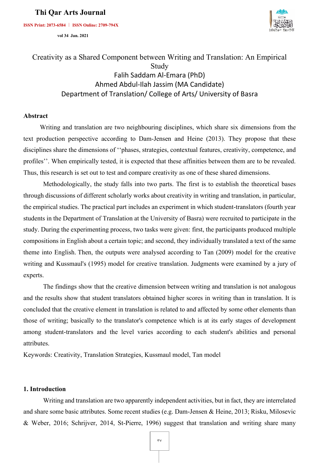**ISSN Print: 2073-6584 ︱ ISSN Online: 2709-794X**



 **vol 34 Jan. 2021** 

# Creativity as a Shared Component between Writing and Translation: An Empirical Study Falih Saddam Al-Emara (PhD) Ahmed Abdul-Ilah Jassim (MA Candidate) Department of Translation/ College of Arts/ University of Basra

### **Abstract**

 Writing and translation are two neighbouring disciplines, which share six dimensions from the text production perspective according to Dam-Jensen and Heine (2013). They propose that these disciplines share the dimensions of ''phases, strategies, contextual features, creativity, competence, and profiles''. When empirically tested, it is expected that these affinities between them are to be revealed. Thus, this research is set out to test and compare creativity as one of these shared dimensions.

Methodologically, the study falls into two parts. The first is to establish the theoretical bases through discussions of different scholarly works about creativity in writing and translation, in particular, the empirical studies. The practical part includes an experiment in which student-translators (fourth year students in the Department of Translation at the University of Basra) were recruited to participate in the study. During the experimenting process, two tasks were given: first, the participants produced multiple compositions in English about a certain topic; and second, they individually translated a text of the same theme into English. Then, the outputs were analysed according to Tan (2009) model for the creative writing and Kussmaul's (1995) model for creative translation. Judgments were examined by a jury of experts.

The findings show that the creative dimension between writing and translation is not analogous and the results show that student translators obtained higher scores in writing than in translation. It is concluded that the creative element in translation is related to and affected by some other elements than those of writing; basically to the translator's competence which is at its early stages of development among student-translators and the level varies according to each student's abilities and personal attributes.

Keywords: Creativity, Translation Strategies, Kussmaul model, Tan model

### **1. Introduction**

Writing and translation are two apparently independent activities, but in fact, they are interrelated and share some basic attributes. Some recent studies (e.g. Dam-Jensen & Heine, 2013; Risku, Milosevic & Weber, 2016; Schrijver, 2014, St-Pierre, 1996) suggest that translation and writing share many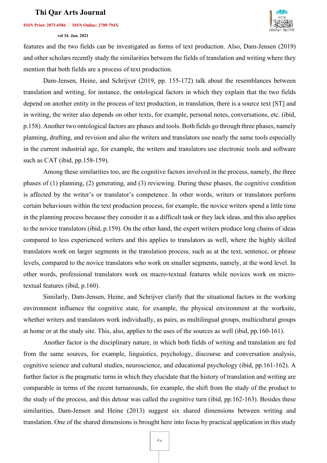### **ISSN Print: 2073-6584 ︱ ISSN Online: 2709-794X**

#### **vol 34 Jan. 2021**



features and the two fields can be investigated as forms of text production. Also, Dam-Jensen (2019) and other scholars recently study the similarities between the fields of translation and writing where they mention that both fields are a process of text production.

Dam-Jensen, Heine, and Schrijver (2019, pp. 155-172) talk about the resemblances between translation and writing, for instance, the ontological factors in which they explain that the two fields depend on another entity in the process of text production, in translation, there is a source text [ST] and in writing, the writer also depends on other texts, for example, personal notes, conversations, etc. (ibid, p.158). Another two ontological factors are phases and tools. Both fields go through three phases, namely planning, drafting, and revision and also the writers and translators use nearly the same tools especially in the current industrial age, for example, the writers and translators use electronic tools and software such as CAT (ibid, pp.158-159).

Among these similarities too, are the cognitive factors involved in the process, namely, the three phases of (1) planning, (2) generating, and (3) reviewing. During these phases, the cognitive condition is affected by the writer's or translator's competence. In other words, writers or translators perform certain behaviours within the text production process, for example, the novice writers spend a little time in the planning process because they consider it as a difficult task or they lack ideas, and this also applies to the novice translators (ibid, p.159). On the other hand, the expert writers produce long chains of ideas compared to less experienced writers and this applies to translators as well, where the highly skilled translators work on larger segments in the translation process, such as at the text, sentence, or phrase levels, compared to the novice translators who work on smaller segments, namely, at the word level. In other words, professional translators work on macro-textual features while novices work on microtextual features (ibid, p.160).

Similarly, Dam-Jensen, Heine, and Schrijver clarify that the situational factors in the working environment influence the cognitive state, for example, the physical environment at the worksite, whether writers and translators work individually, as pairs, as multilingual groups, multicultural groups at home or at the study site. This, also, applies to the uses of the sources as well (ibid, pp.160-161).

Another factor is the disciplinary nature, in which both fields of writing and translation are fed from the same sources, for example, linguistics, psychology, discourse and conversation analysis, cognitive science and cultural studies, neuroscience, and educational psychology (ibid, pp.161-162). A further factor is the pragmatic turns in which they elucidate that the history of translation and writing are comparable in terms of the recent turnarounds, for example, the shift from the study of the product to the study of the process, and this detour was called the cognitive turn (ibid, pp.162-163). Besides these similarities, Dam-Jensen and Heine (2013) suggest six shared dimensions between writing and translation. One of the shared dimensions is brought here into focus by practical application in this study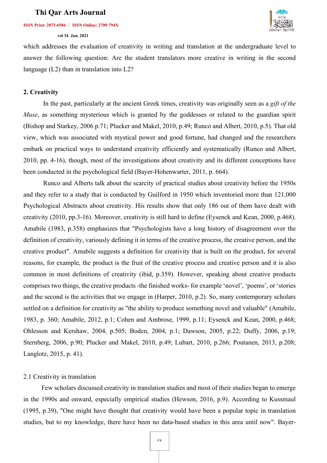#### **ISSN Print: 2073-6584 ︱ ISSN Online: 2709-794X**

#### **vol 34 Jan. 2021**



which addresses the evaluation of creativity in writing and translation at the undergraduate level to answer the following question: Are the student translators more creative in writing in the second language (L2) than in translation into L2?

### **2. Creativity**

In the past, particularly at the ancient Greek times, creativity was originally seen as a *gift of the Muse*, as something mysterious which is granted by the goddesses or related to the guardian spirit (Bishop and Starkey, 2006 p.71; Plucker and Makel, 2010, p.49; Runco and Albert, 2010, p.5). That old view, which was associated with mystical power and good fortune, had changed and the researchers embark on practical ways to understand creativity efficiently and systematically (Runco and Albert, 2010, pp. 4-16), though, most of the investigations about creativity and its different conceptions have been conducted in the psychological field (Bayer-Hohenwarter, 2011, p. 664).

Runco and Alberts talk about the scarcity of practical studies about creativity before the 1950s and they refer to a study that is conducted by Guilford in 1950 which inventoried more than 121,000 Psychological Abstracts about creativity. His results show that only 186 out of them have dealt with creativity (2010, pp.3-16). Moreover, creativity is still hard to define (Eysenck and Kean, 2000, p.468). Amabile (1983, p.358) emphasizes that "Psychologists have a long history of disagreement over the definition of creativity, variously defining it in terms of the creative process, the creative person, and the creative product". Amabile suggests a definition for creativity that is built on the product, for several reasons, for example, the product is the fruit of the creative process and creative person and it is also common in most definitions of creativity (ibid, p.359). However, speaking about creative products comprises two things, the creative products -the finished works- for example 'novel', 'poems', or 'stories and the second is the activities that we engage in (Harper, 2010, p.2). So, many contemporary scholars settled on a definition for creativity as "the ability to produce something novel and valuable" (Amabile, 1983, p. 360; Amabile, 2012, p.1; Cohen and Ambrose, 1999, p.11; Eysenck and Kean, 2000, p.468; Ohlesson and Kershaw, 2004, p.505; Boden, 2004, p.1; Dawson, 2005, p.22; Duffy, 2006, p.19; Sternberg, 2006, p.90; Plucker and Makel, 2010, p.49; Lubart, 2010, p.266; Poutanen, 2013, p.208; Langlotz, 2015, p. 41).

## 2.1 Creativity in translation

 Few scholars discussed creativity in translation studies and most of their studies began to emerge in the 1990s and onward, especially empirical studies (Hewson, 2016, p.9). According to Kussmaul (1995, p.39), "One might have thought that creativity would have been a popular topic in translation studies, but to my knowledge, there have been no data-based studies in this area until now". Bayer-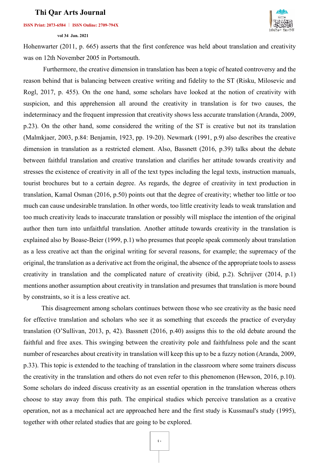### **ISSN Print: 2073-6584 ︱ ISSN Online: 2709-794X**

### **vol 34 Jan. 2021**



Hohenwarter (2011, p. 665) asserts that the first conference was held about translation and creativity was on 12th November 2005 in Portsmouth.

Furthermore, the creative dimension in translation has been a topic of heated controversy and the reason behind that is balancing between creative writing and fidelity to the ST (Risku, Milosevic and Rogl, 2017, p. 455). On the one hand, some scholars have looked at the notion of creativity with suspicion, and this apprehension all around the creativity in translation is for two causes, the indeterminacy and the frequent impression that creativity shows less accurate translation (Aranda, 2009, p.23). On the other hand, some considered the writing of the ST is creative but not its translation (Malmkjaer, 2003, p.84: Benjamin, 1923, pp. 19-20). Newmark (1991, p.9) also describes the creative dimension in translation as a restricted element. Also, Bassnett (2016, p.39) talks about the debate between faithful translation and creative translation and clarifies her attitude towards creativity and stresses the existence of creativity in all of the text types including the legal texts, instruction manuals, tourist brochures but to a certain degree. As regards, the degree of creativity in text production in translation, Kamal Osman (2016, p.50) points out that the degree of creativity; whether too little or too much can cause undesirable translation. In other words, too little creativity leads to weak translation and too much creativity leads to inaccurate translation or possibly will misplace the intention of the original author then turn into unfaithful translation. Another attitude towards creativity in the translation is explained also by Boase-Beier (1999, p.1) who presumes that people speak commonly about translation as a less creative act than the original writing for several reasons, for example; the supremacy of the original, the translation as a derivative act from the original, the absence of the appropriate tools to assess creativity in translation and the complicated nature of creativity (ibid, p.2). Schrijver (2014, p.1) mentions another assumption about creativity in translation and presumes that translation is more bound by constraints, so it is a less creative act.

 This disagreement among scholars continues between those who see creativity as the basic need for effective translation and scholars who see it as something that exceeds the practice of everyday translation (O'Sullivan, 2013, p, 42). Bassnett (2016, p.40) assigns this to the old debate around the faithful and free axes. This swinging between the creativity pole and faithfulness pole and the scant number of researches about creativity in translation will keep this up to be a fuzzy notion (Aranda, 2009, p.33). This topic is extended to the teaching of translation in the classroom where some trainers discuss the creativity in the translation and others do not even refer to this phenomenon (Hewson, 2016, p.10). Some scholars do indeed discuss creativity as an essential operation in the translation whereas others choose to stay away from this path. The empirical studies which perceive translation as a creative operation, not as a mechanical act are approached here and the first study is Kussmaul's study (1995), together with other related studies that are going to be explored.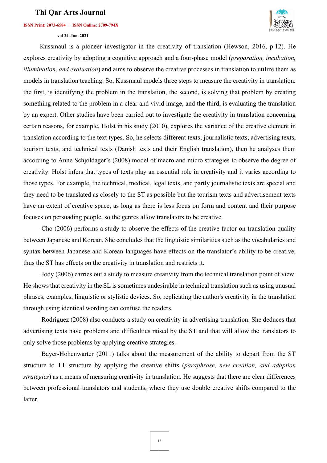#### **ISSN Print: 2073-6584 ︱ ISSN Online: 2709-794X**



 **vol 34 Jan. 2021** 

 Kussmaul is a pioneer investigator in the creativity of translation (Hewson, 2016, p.12). He explores creativity by adopting a cognitive approach and a four-phase model (*preparation, incubation, illumination, and evaluation*) and aims to observe the creative processes in translation to utilize them as models in translation teaching. So, Kussmaul models three steps to measure the creativity in translation; the first, is identifying the problem in the translation, the second, is solving that problem by creating something related to the problem in a clear and vivid image, and the third, is evaluating the translation by an expert. Other studies have been carried out to investigate the creativity in translation concerning certain reasons, for example, Holst in his study (2010), explores the variance of the creative element in translation according to the text types. So, he selects different texts; journalistic texts, advertising texts, tourism texts, and technical texts (Danish texts and their English translation), then he analyses them according to Anne Schjoldager's (2008) model of macro and micro strategies to observe the degree of creativity. Holst infers that types of texts play an essential role in creativity and it varies according to those types. For example, the technical, medical, legal texts, and partly journalistic texts are special and they need to be translated as closely to the ST as possible but the tourism texts and advertisement texts have an extent of creative space, as long as there is less focus on form and content and their purpose focuses on persuading people, so the genres allow translators to be creative.

 Cho (2006) performs a study to observe the effects of the creative factor on translation quality between Japanese and Korean. She concludes that the linguistic similarities such as the vocabularies and syntax between Japanese and Korean languages have effects on the translator's ability to be creative, thus the ST has effects on the creativity in translation and restricts it.

 Jody (2006) carries out a study to measure creativity from the technical translation point of view. He shows that creativity in the SL is sometimes undesirable in technical translation such as using unusual phrases, examples, linguistic or stylistic devices. So, replicating the author's creativity in the translation through using identical wording can confuse the readers.

 Rodriguez (2008) also conducts a study on creativity in advertising translation. She deduces that advertising texts have problems and difficulties raised by the ST and that will allow the translators to only solve those problems by applying creative strategies.

 Bayer-Hohenwarter (2011) talks about the measurement of the ability to depart from the ST structure to TT structure by applying the creative shifts (*paraphrase, new creation, and adaption strategies*) as a means of measuring creativity in translation. He suggests that there are clear differences between professional translators and students, where they use double creative shifts compared to the latter.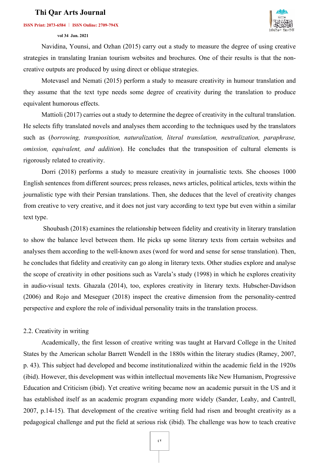### **ISSN Print: 2073-6584 ︱ ISSN Online: 2709-794X**

### **vol 34 Jan. 2021**



 Navidina, Younsi, and Ozhan (2015) carry out a study to measure the degree of using creative strategies in translating Iranian tourism websites and brochures. One of their results is that the noncreative outputs are produced by using direct or oblique strategies.

 Motevasel and Nemati (2015) perform a study to measure creativity in humour translation and they assume that the text type needs some degree of creativity during the translation to produce equivalent humorous effects.

 Mattioli (2017) carries out a study to determine the degree of creativity in the cultural translation. He selects fifty translated novels and analyses them according to the techniques used by the translators such as (*borrowing, transposition, naturalization, literal translation, neutralization, paraphrase, omission, equivalent, and addition*). He concludes that the transposition of cultural elements is rigorously related to creativity.

 Dorri (2018) performs a study to measure creativity in journalistic texts. She chooses 1000 English sentences from different sources; press releases, news articles, political articles, texts within the journalistic type with their Persian translations. Then, she deduces that the level of creativity changes from creative to very creative, and it does not just vary according to text type but even within a similar text type.

Shoubash (2018) examines the relationship between fidelity and creativity in literary translation to show the balance level between them. He picks up some literary texts from certain websites and analyses them according to the well-known axes (word for word and sense for sense translation). Then, he concludes that fidelity and creativity can go along in literary texts. Other studies explore and analyse the scope of creativity in other positions such as Varela's study (1998) in which he explores creativity in audio-visual texts. Ghazala (2014), too, explores creativity in literary texts. Hubscher-Davidson (2006) and Rojo and Meseguer (2018) inspect the creative dimension from the personality-centred perspective and explore the role of individual personality traits in the translation process.

### 2.2. Creativity in writing

 Academically, the first lesson of creative writing was taught at Harvard College in the United States by the American scholar Barrett Wendell in the 1880s within the literary studies (Ramey, 2007, p. 43). This subject had developed and become institutionalized within the academic field in the 1920s (ibid). However, this development was within intellectual movements like New Humanism, Progressive Education and Criticism (ibid). Yet creative writing became now an academic pursuit in the US and it has established itself as an academic program expanding more widely (Sander, Leahy, and Cantrell, 2007, p.14-15). That development of the creative writing field had risen and brought creativity as a pedagogical challenge and put the field at serious risk (ibid). The challenge was how to teach creative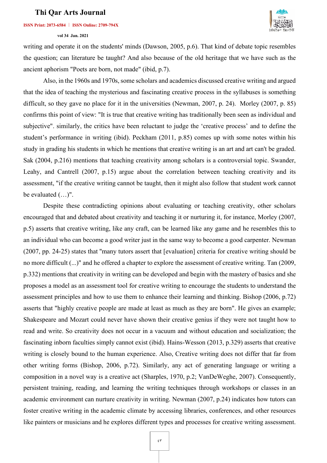### **ISSN Print: 2073-6584 ︱ ISSN Online: 2709-794X**

### **vol 34 Jan. 2021**



writing and operate it on the students' minds (Dawson, 2005, p.6). That kind of debate topic resembles the question; can literature be taught? And also because of the old heritage that we have such as the ancient aphorism "Poets are born, not made" (ibid, p.7).

Also, in the 1960s and 1970s, some scholars and academics discussed creative writing and argued that the idea of teaching the mysterious and fascinating creative process in the syllabuses is something difficult, so they gave no place for it in the universities (Newman, 2007, p. 24). Morley (2007, p. 85) confirms this point of view: "It is true that creative writing has traditionally been seen as individual and subjective". similarly, the critics have been reluctant to judge the 'creative process' and to define the student's performance in writing (ibid). Peckham (2011, p.85) comes up with some notes within his study in grading his students in which he mentions that creative writing is an art and art can't be graded. Sak (2004, p.216) mentions that teaching creativity among scholars is a controversial topic. Swander, Leahy, and Cantrell (2007, p.15) argue about the correlation between teaching creativity and its assessment, "if the creative writing cannot be taught, then it might also follow that student work cannot be evaluated (…)".

Despite these contradicting opinions about evaluating or teaching creativity, other scholars encouraged that and debated about creativity and teaching it or nurturing it, for instance, Morley (2007, p.5) asserts that creative writing, like any craft, can be learned like any game and he resembles this to an individual who can become a good writer just in the same way to become a good carpenter. Newman (2007, pp. 24-25) states that ''many tutors assert that [evaluation] criteria for creative writing should be no more difficult (...)" and he offered a chapter to explore the assessment of creative writing. Tan (2009, p.332) mentions that creativity in writing can be developed and begin with the mastery of basics and she proposes a model as an assessment tool for creative writing to encourage the students to understand the assessment principles and how to use them to enhance their learning and thinking. Bishop (2006, p.72) asserts that "highly creative people are made at least as much as they are born". He gives an example; Shakespeare and Mozart could never have shown their creative genius if they were not taught how to read and write. So creativity does not occur in a vacuum and without education and socialization; the fascinating inborn faculties simply cannot exist (ibid). Hains-Wesson (2013, p.329) asserts that creative writing is closely bound to the human experience. Also, Creative writing does not differ that far from other writing forms (Bishop, 2006, p.72). Similarly, any act of generating language or writing a composition in a novel way is a creative act (Sharples, 1970, p.2; VanDeWeghe, 2007). Consequently, persistent training, reading, and learning the writing techniques through workshops or classes in an academic environment can nurture creativity in writing. Newman (2007, p.24) indicates how tutors can foster creative writing in the academic climate by accessing libraries, conferences, and other resources like painters or musicians and he explores different types and processes for creative writing assessment.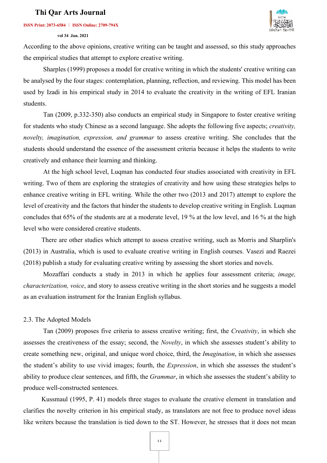### **ISSN Print: 2073-6584 ︱ ISSN Online: 2709-794X**

### **vol 34 Jan. 2021**



According to the above opinions, creative writing can be taught and assessed, so this study approaches the empirical studies that attempt to explore creative writing.

Sharples (1999) proposes a model for creative writing in which the students' creative writing can be analysed by the four stages: contemplation, planning, reflection, and reviewing. This model has been used by Izadi in his empirical study in 2014 to evaluate the creativity in the writing of EFL Iranian students.

Tan (2009, p.332-350) also conducts an empirical study in Singapore to foster creative writing for students who study Chinese as a second language. She adopts the following five aspects; *creativity, novelty, imagination, expression, and grammar* to assess creative writing. She concludes that the students should understand the essence of the assessment criteria because it helps the students to write creatively and enhance their learning and thinking.

At the high school level, Luqman has conducted four studies associated with creativity in EFL writing. Two of them are exploring the strategies of creativity and how using these strategies helps to enhance creative writing in EFL writing. While the other two (2013 and 2017) attempt to explore the level of creativity and the factors that hinder the students to develop creative writing in English. Luqman concludes that 65% of the students are at a moderate level, 19 % at the low level, and 16 % at the high level who were considered creative students.

 There are other studies which attempt to assess creative writing, such as Morris and Sharplin's (2013) in Australia, which is used to evaluate creative writing in English courses. Vasezi and Raezei (2018) publish a study for evaluating creative writing by assessing the short stories and novels.

Mozaffari conducts a study in 2013 in which he applies four assessment criteria; *image, characterization, voice*, and story to assess creative writing in the short stories and he suggests a model as an evaluation instrument for the Iranian English syllabus.

### 2.3. The Adopted Models

 Tan (2009) proposes five criteria to assess creative writing; first, the *Creativity*, in which she assesses the creativeness of the essay; second, the *Novelty*, in which she assesses student's ability to create something new, original, and unique word choice, third, the *Imagination*, in which she assesses the student's ability to use vivid images; fourth, the *Expression*, in which she assesses the student's ability to produce clear sentences, and fifth, the *Grammar*, in which she assesses the student's ability to produce well-constructed sentences.

 Kussmaul (1995, P. 41) models three stages to evaluate the creative element in translation and clarifies the novelty criterion in his empirical study, as translators are not free to produce novel ideas like writers because the translation is tied down to the ST. However, he stresses that it does not mean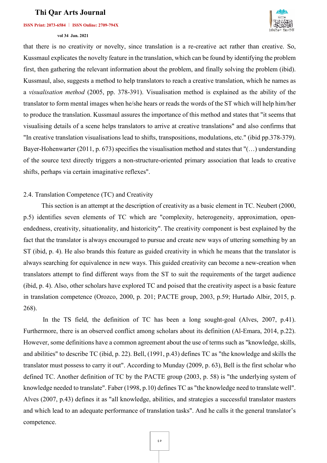#### **ISSN Print: 2073-6584 ︱ ISSN Online: 2709-794X**

#### **vol 34 Jan. 2021**



that there is no creativity or novelty, since translation is a re-creative act rather than creative. So, Kussmaul explicates the novelty feature in the translation, which can be found by identifying the problem first, then gathering the relevant information about the problem, and finally solving the problem (ibid). Kussmaul, also, suggests a method to help translators to reach a creative translation, which he names as a *visualisation method* (2005, pp. 378-391). Visualisation method is explained as the ability of the translator to form mental images when he/she hears or reads the words of the ST which will help him/her to produce the translation. Kussmaul assures the importance of this method and states that "it seems that visualising details of a scene helps translators to arrive at creative translations" and also confirms that "In creative translation visualisations lead to shifts, transpositions, modulations, etc." (ibid pp.378-379). Bayer-Hohenwarter (2011, p. 673) specifies the visualisation method and states that "(…) understanding of the source text directly triggers a non-structure-oriented primary association that leads to creative shifts, perhaps via certain imaginative reflexes".

### 2.4. Translation Competence (TC) and Creativity

 This section is an attempt at the description of creativity as a basic element in TC. Neubert (2000, p.5) identifies seven elements of TC which are "complexity, heterogeneity, approximation, openendedness, creativity, situationality, and historicity". The creativity component is best explained by the fact that the translator is always encouraged to pursue and create new ways of uttering something by an ST (ibid, p. 4). He also brands this feature as guided creativity in which he means that the translator is always searching for equivalence in new ways. This guided creativity can become a new-creation when translators attempt to find different ways from the ST to suit the requirements of the target audience (ibid, p. 4). Also, other scholars have explored TC and poised that the creativity aspect is a basic feature in translation competence (Orozco, 2000, p. 201; PACTE group, 2003, p.59; Hurtado Albir, 2015, p. 268).

In the TS field, the definition of TC has been a long sought-goal (Alves, 2007, p.41). Furthermore, there is an observed conflict among scholars about its definition (Al-Emara, 2014, p.22). However, some definitions have a common agreement about the use of terms such as "knowledge, skills, and abilities" to describe TC (ibid, p. 22). Bell, (1991, p.43) defines TC as "the knowledge and skills the translator must possess to carry it out". According to Munday (2009, p. 63), Bell is the first scholar who defined TC. Another definition of TC by the PACTE group (2003, p. 58) is "the underlying system of knowledge needed to translate". Faber (1998, p.10) defines TC as "the knowledge need to translate well". Alves (2007, p.43) defines it as "all knowledge, abilities, and strategies a successful translator masters and which lead to an adequate performance of translation tasks". And he calls it the general translator's competence.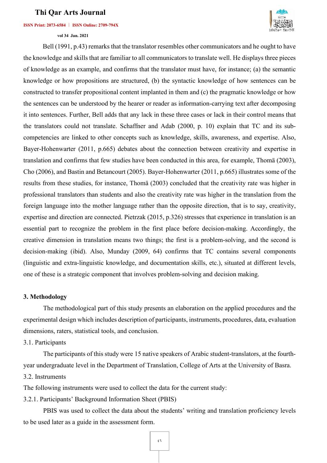### **ISSN Print: 2073-6584 ︱ ISSN Online: 2709-794X**

 **vol 34 Jan. 2021** 



Bell (1991, p.43) remarks that the translator resembles other communicators and he ought to have the knowledge and skills that are familiar to all communicators to translate well. He displays three pieces of knowledge as an example, and confirms that the translator must have, for instance; (a) the semantic knowledge or how propositions are structured, (b) the syntactic knowledge of how sentences can be constructed to transfer propositional content implanted in them and (c) the pragmatic knowledge or how the sentences can be understood by the hearer or reader as information-carrying text after decomposing it into sentences. Further, Bell adds that any lack in these three cases or lack in their control means that the translators could not translate. Schaffner and Adab (2000, p. 10) explain that TC and its subcompetencies are linked to other concepts such as knowledge, skills, awareness, and expertise. Also, Bayer-Hohenwarter (2011, p.665) debates about the connection between creativity and expertise in translation and confirms that few studies have been conducted in this area, for example, Thomä (2003), Cho (2006), and Bastin and Betancourt (2005). Bayer-Hohenwarter (2011, p.665) illustrates some of the results from these studies, for instance, Thomä (2003) concluded that the creativity rate was higher in professional translators than students and also the creativity rate was higher in the translation from the foreign language into the mother language rather than the opposite direction, that is to say, creativity, expertise and direction are connected. Pietrzak (2015, p.326) stresses that experience in translation is an essential part to recognize the problem in the first place before decision-making. Accordingly, the creative dimension in translation means two things; the first is a problem-solving, and the second is decision-making (ibid). Also, Munday (2009, 64) confirms that TC contains several components (linguistic and extra-linguistic knowledge, and documentation skills, etc.), situated at different levels, one of these is a strategic component that involves problem-solving and decision making.

### **3. Methodology**

The methodological part of this study presents an elaboration on the applied procedures and the experimental design which includes description of participants, instruments, procedures, data, evaluation dimensions, raters, statistical tools, and conclusion.

3.1. Participants

The participants of this study were 15 native speakers of Arabic student-translators, at the fourthyear undergraduate level in the Department of Translation, College of Arts at the University of Basra.

3.2. Instruments

The following instruments were used to collect the data for the current study:

3.2.1. Participants' Background Information Sheet (PBIS)

PBIS was used to collect the data about the students' writing and translation proficiency levels to be used later as a guide in the assessment form.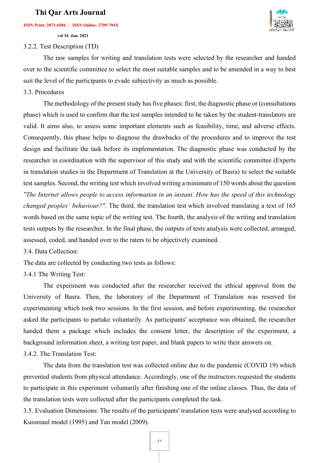### **ISSN Print: 2073-6584 ︱ ISSN Online: 2709-794X**

 **vol 34 Jan. 2021** 

## 3.2.2. Test Description (TD)

The raw samples for writing and translation tests were selected by the researcher and handed over to the scientific committee to select the most suitable samples and to be amended in a way to best suit the level of the participants to evade subjectivity as much as possible.

### 3.3. Procedures

The methodology of the present study has five phases: first, the diagnostic phase or (consultations phase) which is used to confirm that the test samples intended to be taken by the student-translators are valid. It aims also, to assess some important elements such as feasibility, time, and adverse effects. Consequently, this phase helps to diagnose the drawbacks of the procedures and to improve the test design and facilitate the task before its implementation. The diagnostic phase was conducted by the researcher in coordination with the supervisor of this study and with the scientific committee (Experts in translation studies in the Department of Translation at the University of Basra) to select the suitable test samples. Second, the writing test which involved writing a minimum of 150 words about the question *"The Internet allows people to access information in an instant. How has the speed of this technology changed peoples' behaviour?"*. The third, the translation test which involved translating a text of 165 words based on the same topic of the writing test. The fourth, the analysis of the writing and translation tests outputs by the researcher. In the final phase, the outputs of tests analysis were collected, arranged, assessed, coded, and handed over to the raters to be objectively examined.

3.4. Data Collection:

The data are collected by conducting two tests as follows:

3.4.1 The Writing Test:

 The experiment was conducted after the researcher received the ethical approval from the University of Basra. Then, the laboratory of the Department of Translation was reserved for experimenting which took two sessions. In the first session, and before experimenting, the researcher asked the participants to partake voluntarily. As participants' acceptance was obtained, the researcher handed them a package which includes the consent letter, the description of the experiment, a background information sheet, a writing test paper, and blank papers to write their answers on.

## 3.4.2. The Translation Test:

The data from the translation test was collected online due to the pandemic (COVID 19) which prevented students from physical attendance. Accordingly, one of the instructors requested the students to participate in this experiment voluntarily after finishing one of the online classes. Thus, the data of the translation tests were collected after the participants completed the task.

3.5. Evaluation Dimensions: The results of the participants' translation tests were analysed according to Kussmaul model (1995) and Tan model (2009).

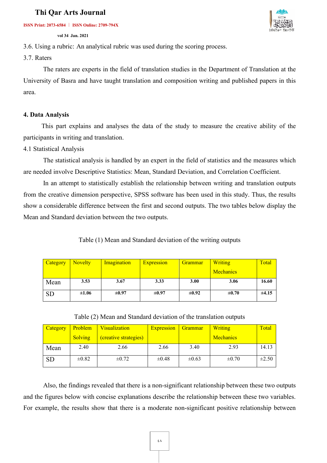**ISSN Print: 2073-6584 ︱ ISSN Online: 2709-794X**

 **vol 34 Jan. 2021** 



3.6. Using a rubric: An analytical rubric was used during the scoring process.

3.7. Raters

The raters are experts in the field of translation studies in the Department of Translation at the University of Basra and have taught translation and composition writing and published papers in this area.

## **4. Data Analysis**

 This part explains and analyses the data of the study to measure the creative ability of the participants in writing and translation.

4.1 Statistical Analysis

The statistical analysis is handled by an expert in the field of statistics and the measures which are needed involve Descriptive Statistics: Mean, Standard Deviation, and Correlation Coefficient.

In an attempt to statistically establish the relationship between writing and translation outputs from the creative dimension perspective, SPSS software has been used in this study. Thus, the results show a considerable difference between the first and second outputs. The two tables below display the Mean and Standard deviation between the two outputs.

Table (1) Mean and Standard deviation of the writing outputs

| Category  | <b>Novelty</b> | Imagination | <b>Expression</b> | Grammar    | <b>Writing</b>   | Total |
|-----------|----------------|-------------|-------------------|------------|------------------|-------|
|           |                |             |                   |            | <b>Mechanics</b> |       |
| Mean      | 3.53           | 3.67        | 3.33              | 3.00       | 3.06             | 16.60 |
| <b>SD</b> | $\pm 1.06$     | $\pm 0.97$  | $\pm 0.97$        | $\pm 0.92$ | $\pm 0.70$       | ±4.15 |

Table (2) Mean and Standard deviation of the translation outputs

| <b>Category</b> | Problem        | Visualization         | <b>Expression</b> | Grammar    | Writing          | Total      |
|-----------------|----------------|-----------------------|-------------------|------------|------------------|------------|
|                 | <b>Solving</b> | (creative strategies) |                   |            | <b>Mechanics</b> |            |
| Mean            | 2.40           | 2.66                  | 2.66              | 3.40       | 2.93             | 14.13      |
| <b>SD</b>       | $\pm 0.82$     | $\pm 0.72$            | $\pm 0.48$        | $\pm 0.63$ | $\pm 0.70$       | $\pm 2.50$ |

Also, the findings revealed that there is a non-significant relationship between these two outputs and the figures below with concise explanations describe the relationship between these two variables. For example, the results show that there is a moderate non-significant positive relationship between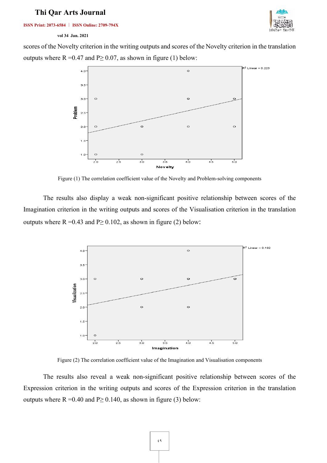**ISSN Print: 2073-6584 ︱ ISSN Online: 2709-794X**



### **vol 34 Jan. 2021**

scores of the Novelty criterion in the writing outputs and scores of the Novelty criterion in the translation outputs where  $R = 0.47$  and  $P \ge 0.07$ , as shown in figure (1) below:



Figure (1) The correlation coefficient value of the Novelty and Problem-solving components

The results also display a weak non-significant positive relationship between scores of the Imagination criterion in the writing outputs and scores of the Visualisation criterion in the translation outputs where  $R = 0.43$  and  $P \ge 0.102$ , as shown in figure (2) below:



Figure (2) The correlation coefficient value of the Imagination and Visualisation components

The results also reveal a weak non-significant positive relationship between scores of the Expression criterion in the writing outputs and scores of the Expression criterion in the translation outputs where  $R = 0.40$  and  $P \ge 0.140$ , as shown in figure (3) below: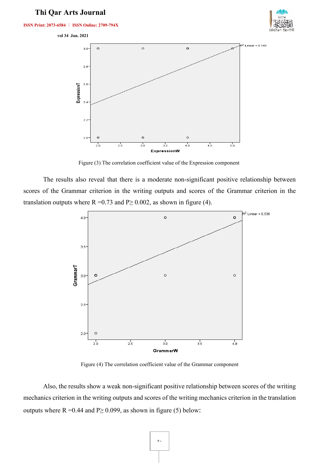







Figure (3) The correlation coefficient value of the Expression component

The results also reveal that there is a moderate non-significant positive relationship between scores of the Grammar criterion in the writing outputs and scores of the Grammar criterion in the translation outputs where  $R = 0.73$  and  $P \ge 0.002$ , as shown in figure (4).



Figure (4) The correlation coefficient value of the Grammar component

Also, the results show a weak non-significant positive relationship between scores of the writing mechanics criterion in the writing outputs and scores of the writing mechanics criterion in the translation outputs where  $R = 0.44$  and  $P \ge 0.099$ , as shown in figure (5) below: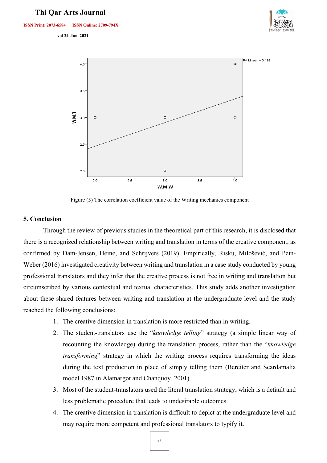**ISSN Print: 2073-6584 ︱ ISSN Online: 2709-794X**

 **vol 34 Jan. 2021** 





Figure (5) The correlation coefficient value of the Writing mechanics component

### **5. Conclusion**

Through the review of previous studies in the theoretical part of this research, it is disclosed that there is a recognized relationship between writing and translation in terms of the creative component, as confirmed by Dam-Jensen, Heine, and Schrijvers (2019). Empirically, Risku, Milošević, and Pein-Weber (2016) investigated creativity between writing and translation in a case study conducted by young professional translators and they infer that the creative process is not free in writing and translation but circumscribed by various contextual and textual characteristics. This study adds another investigation about these shared features between writing and translation at the undergraduate level and the study reached the following conclusions:

- 1. The creative dimension in translation is more restricted than in writing.
- 2. The student-translators use the "*knowledge telling*" strategy (a simple linear way of recounting the knowledge) during the translation process, rather than the "*knowledge transforming*" strategy in which the writing process requires transforming the ideas during the text production in place of simply telling them (Bereiter and Scardamalia model 1987 in Alamargot and Chanquoy, 2001).
- 3. Most of the student-translators used the literal translation strategy, which is a default and less problematic procedure that leads to undesirable outcomes.
- 4. The creative dimension in translation is difficult to depict at the undergraduate level and may require more competent and professional translators to typify it.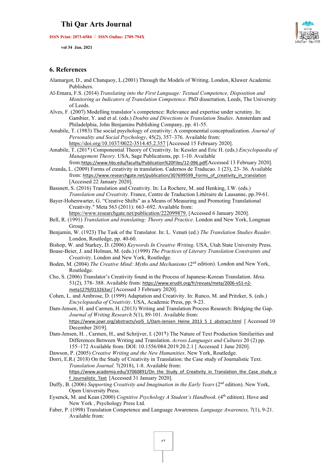**ISSN Print: 2073-6584 ︱ ISSN Online: 2709-794X**

 **vol 34 Jan. 2021** 

### **6. References**

- Alamargot, D., and Chanquoy, L.(2001) Through the Models of Writing. London, Kluwer Academic Publishers.
- Al-Emara, F.S. (2014) *Translating into the First Language: Textual Competence, Disposition and Monitoring as Indicators of Translation Competence.* PhD dissertation, Leeds, The University of Leeds.
- Alves, F. (2007) Modelling translator's competence: Relevance and expertise under scrutiny. In: Gambier, Y. and et al. (eds.) *Doubts and Directions in Translation Studies*. Amsterdam and Philadelphia, John Benjamins Publishing Company, pp. 41-55.
- Amabile, T. (1983) The social psychology of creativity: A componential conceptualization. *Journal of Personality and Social Psychology*, 45(2), 357–376. Available from: <https://doi.org/10.1037/0022-3514.45.2.357> [Accessed 15 February 2020].
- Amabile, T. (201۲) Componential Theory of Creativity. In: Kessler and Eric H. (eds.) *Encyclopaedia of Management Theory*. USA, Sage Publications, pp. 1-10. Available
- from:<https://www.hbs.edu/faculty/Publication%20Files/12-096.pdf>[Accessed 13 February 2020]. Aranda, L. (2009) Forms of creativity in translation. Cadernos de Traducao. 1 (23), 23- 36. Available from: [https://www.researchgate.net/publication/307699599\\_Forms\\_of\\_creativity\\_in\\_translation](https://www.researchgate.net/publication/307699599_Forms_of_creativity_in_translation)

[Accessed 22 January 2020].

Bassnett, S. (2016) Translation and Creativity. In: La Rochere, M. and Henking, I.W. (eds.) *Translation and Creativity.* France, Centre de Traduction Littéraire de Lausanne, pp.39-61.

Bayer-Hohenwarter, G. "Creative Shifts" as a Means of Measuring and Promoting Translational Creativity." Meta 563 (2011): 663–692. Available from: https://www.researchgate.net/publication/222099879. [Accessed 6 January 2020].

- Bell, R. (1991) *Translation and translating: Theory and Practice*. London and New York, Longman Group.
- Benjamin, W. (1923) The Task of the Translator. In: L. Venuti (ed.) *The Translation Studies Reader*. London, Routledge, pp. 40-60.
- Bishop, W. and Starkey, D. (2006) *Keywords In Creative Writing*. USA, Utah State University Press.
- Boase-Beier, J. and Holman, M. (eds.) (1999) *The Practices of Literary Translation Constraints and Creativity*. London and New York, Routledge.
- Boden, M. (2004) *The Creative Mind: Myths and Mechanisms* (2nd edition). London and New York, Routledge.
- Cho, S. (2006) Translator's Creativity found in the Process of Japanese-Korean Translation. *Meta.*  51(2), 378- 388. Available from: [https://www.erudit.org/fr/revues/meta/2006-v51-n2](https://www.erudit.org/fr/revues/meta/2006-v51-n2-meta1279/013263ar/) [meta1279/013263ar/](https://www.erudit.org/fr/revues/meta/2006-v51-n2-meta1279/013263ar/) [Accessed 3 February 2020].
- Cohen, L. and Ambrose, D. (1999) Adaptation and Creativity. In: Runco, M. and Pritzker, S. (eds.) *Encyclopaedia of Creativity*. USA, Academic Press, pp. 9-23.
- Dam-Jensen, H. and Carmen, H. (2013) Writing and Translation Process Research: Bridging the Gap. *Journal of Writing Research* 5(1), 89-101. Available from: [https://www.jowr.org/abstracts/vol5\\_1/Dam-Jensen\\_Heine\\_2013\\_5\\_1\\_abstract.html](https://www.jowr.org/abstracts/vol5_1/Dam-Jensen_Heine_2013_5_1_abstract.html) [ Accessed 10 December 2019].
- Dam-Jensen, H. , Carmen, H., and Schrijver, I. (201۹) The Nature of Text Production Similarities and Differences Between Writing and Translation. *Across Languages and Cultures* 20 (2) pp. 155–172 Available from: DOI: 10.1556/084.2019.20.2.1 [ Accessed 1 June 2020].
- Dawson, P. (2005) *Creative Writing and the New Humanities*. New York, Routledge.
- Dorri, E.R.( 2018) On the Study of Creativity in Translation: the Case study of Journalistic Text. *Translation Journal*. 7(2018), 1-8. Available from: [https://www.academia.edu/37060891/On\\_the\\_Study\\_of\\_Creativity\\_in\\_Translation\\_the\\_Case\\_study\\_o](https://www.academia.edu/37060891/On_the_Study_of_Creativity_in_Translation_the_Case_study_of_Journalistic_Text) f Journalistic Text [Accessed 31 January 2020].
- Duffy, B. (2006) *Supporting Creativity and Imagination in the Early Years* (2nd edition). New York, Open University Press.
- Eysenck, M. and Kean (2000) *Cognitive Psychology A Student's Handbook*. (4<sup>th</sup> edition). Hove and New York , Psychology Press Ltd.
- Faber, P. (1998) Translation Competence and Language Awareness. *Language Awareness,* 7(1), 9-21. Available from: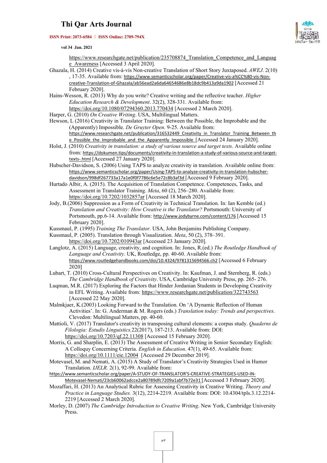#### **ISSN Print: 2073-6584 ︱ ISSN Online: 2709-794X**



 **vol 34 Jan. 2021** 

[https://www.researchgate.net/publication/235708874\\_Translation\\_Competence\\_and\\_Languag](https://www.researchgate.net/publication/235708874_Translation_Competence_and_Language_Awareness) [e\\_Awareness](https://www.researchgate.net/publication/235708874_Translation_Competence_and_Language_Awareness) [Accessed 3 April 2020].

- Ghazala, H. (2014) Creative vis-à-vis Non-creative Translation of Short Story Juxtaposed. *AWEJ*. 2(10) , 17-35. Available from: [https://www.semanticscholar.org/paper/Creative-vis-a%CC%80-vis-Non](https://www.semanticscholar.org/paper/Creative-vis-a%CC%80-vis-Non-creative-Translation-of-Ghazala/ab56ead2a6da64654686e8b18dc9b413a9da1902)[creative-Translation-of-Ghazala/ab56ead2a6da64654686e8b18dc9b413a9da1902](https://www.semanticscholar.org/paper/Creative-vis-a%CC%80-vis-Non-creative-Translation-of-Ghazala/ab56ead2a6da64654686e8b18dc9b413a9da1902) [Accessed 21 February 2020].
- Hains-Wesson, R. (2013) Why do you write? Creative writing and the reflective teacher. *Higher Education Research & Development*. 32(2), 328-331. Available from: <https://doi.org/10.1080/07294360.2013.770434> [Accessed 2 March 2020].
- Harper, G. (2010) *On Creative Writing*. USA, Multilingual Matters.

Hewson, L (2016) Creativity in Translator Training: Between the Possible, the Improbable and the (Apparently) Impossible. *De Gruyter Open.* 9-25. Available from: [https://www.researchgate.net/publication/316532449\\_Creativity\\_in\\_Translator\\_Training\\_Between\\_th](https://www.researchgate.net/publication/316532449_Creativity_in_Translator_Training_Between_the_Possible_the_Improbable_and_the_Apparently_Impossible)

[e\\_Possible\\_the\\_Improbable\\_and\\_the\\_Apparently\\_Impossible](https://www.researchgate.net/publication/316532449_Creativity_in_Translator_Training_Between_the_Possible_the_Improbable_and_the_Apparently_Impossible) [Accessed 24 January 2020].

- Holst, J. (2010) *Creativity in translation: a study of various source and target texts*. Available online from: [https://dokumen.tips/documents/creativity-in-translation-a-study-of-various-source-and-target](https://dokumen.tips/documents/creativity-in-translation-a-study-of-various-source-and-target-texts-.html)[texts-.html](https://dokumen.tips/documents/creativity-in-translation-a-study-of-various-source-and-target-texts-.html) [Accessed 27 January 2020].
- Hubscher-Davidson, S. (2006) Using TAPS to analyze creativity in translation. Available online from: [https://www.semanticscholar.org/paper/Using-TAPS-to-analyze-creativity-in-translation-hubscher](https://www.semanticscholar.org/paper/Using-TAPS-to-analyze-creativity-in-translation-hubscher-davidson/998df267733a17a1e0f0f7786c6e5e72c8b3af3d)[davidson/998df267733a17a1e0f0f7786c6e5e72c8b3af3d](https://www.semanticscholar.org/paper/Using-TAPS-to-analyze-creativity-in-translation-hubscher-davidson/998df267733a17a1e0f0f7786c6e5e72c8b3af3d) [Accessed 9 February 2020].
- Hurtado Albir, A. (2015). The Acquisition of Translation Competence. Competences, Tasks, and Assessment in Translator Training. *Meta*, 60 (2), 256–280. Available from: <https://doi.org/10.7202/1032857ar> [Accessed 18 March 2020].
- Jody, B.(2006) Suppression as a Form of Creativity in Technical Translation. In: Ian Kemble (ed.) *Translation and Creativity: How Creative is the Translator?* Portsmouth: University of Portsmouth, pp.6-14. Available from: <http://www.jodybyrne.com/content/176> [Accessed 15 February 2020].
- Kussmaul, P. (1995) *Training The Translator.* USA, John Benjamins Publishing Company.
- Kussmaul, P. (2005). Translation through Visualization. *Meta*, 50 (2), 378–391. <https://doi.org/10.7202/010943ar> [Accessed 23 January 2020].
- Langlotz, A. (2015) Language, creativity, and cognition. In: Jones, R.(ed.) *The Routledge Handbook of Language and Creativity.* UK, Routledge, pp. 40-60. Available from: <https://www.routledgehandbooks.com/doi/10.4324/9781315694566.ch2> [Accessed 6 February 2020]
- Lubart, T. (2010) Cross-Cultural Perspectives on Creativity. In: Kaufman, J. and Sternberg, R. (eds.) *The Cambridge Handbook of Creativity*. USA, Cambridge University Press, pp. 265- 276.
- Luqman, M.R. (2017) Exploring the Factors that Hinder Jordanian Students in Developing Creativity in EFL Writing. Available from:<https://www.researchgate.net/publication/322743563> [Accessed 22 May 2020].
- Malmkjaer, K.(2003) Looking Forward to the Translation. On 'A Dynamic Reflection of Human Activities'. In: G. Anderman & M. Rogers (eds.) *Translation today: Trends and perspectives*. Clevedon: Multilingual Matters, pp. 40-60.
- Mattioli, V. (2017) Translator's creativity in transposing cultural elements: a corpus study. *Quaderns de Filologia: Estudis Linguistics.*22(2017), 187-213. Available from: DOI: <https://doi.org/10.7203/qf.22.11308> [Accessed 15 February 2020].
- Morris, G. and Sharplin, E. (2013) The Assessment of Creative Writing in Senior Secondary English: A Colloquy Concerning Criteria. *English in Education*. 47(1), 49-65. Available from: <https://doi.org/10.1111/eie.12004>[Accessed 29 December 2019].
- Motevasel, M. and Nemati, A. (2015) A Study of Translator's Creativity Strategies Used in Humor Translation. *IJELR.* 2(1), 92-99. Available from:

[https://www.semanticscholar.org/paper/A-STUDY-OF-TRANSLATOR'S-CREATIVE-STRATEGIES-USED-IN-](https://www.semanticscholar.org/paper/A-STUDY-OF-TRANSLATOR)[Motevasel-Nemati/23cb60062adcce2a80789dfc7209a1abf7b72e31](https://www.semanticscholar.org/paper/A-STUDY-OF-TRANSLATOR) [Accessed 3 February 2020].

- Mozaffari, H. (2013) An Analytical Rubric for Assessing Creativity in Creative Writing. *Theory and Practice in Language Studies.* 3(12), 2214-2219. Available from: DOI: 10.4304/tpls.3.12.2214- 2219 [Accessed 2 March 2020].
- Morley, D. (2007) *The Cambridge Introduction to Creative Writing*. New York, Cambridge University Press.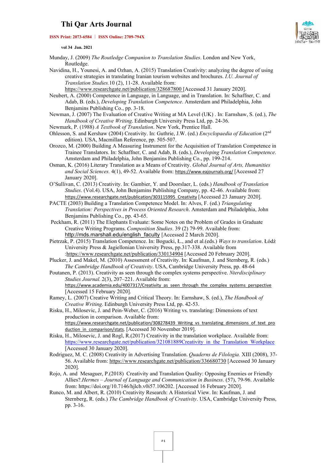### **ISSN Print: 2073-6584 ︱ ISSN Online: 2709-794X**



 **vol 34 Jan. 2021** 

- Munday, J. (2009) *The Routledge Companion to Translation Studies*. London and New York, Routledge.
- Navidina, H., Younesi, A. and Ozhan, A. (2015) Translation Creativity: analyzing the degree of using creative strategies in translating Iranian tourism websites and brochures. *I.U. Journal of Translation Studies.*10 (2), 11-28. Available from: <https://www.researchgate.net/publication/328687800> [Accessed 31 January 2020].
- Neubert, A. (2000) Competence in Language, in Language, and in Translation. In: Schaffner, C. and Adab, B. (eds.), *Developing Translation Competence*. Amsterdam and Philadelphia, John Benjamins Publishing Co., pp. 3-18.
- Newman, J. (2007) The Evaluation of Creative Writing at MA Level (UK) . In: Earnshaw, S. (ed.), *The Handbook of Creative Writing*. Edinburgh University Press Ltd, pp. 24-36.
- Newmark, P. (1988) *A Textbook of Translation*. New York, Prentice Hall.
- Ohlesson, S. and Kershaw (2004) Creativity. In: Guthrie, J.W. (ed.) *Encyclopaedia of Education* (2nd edition). USA, Macmillan Reference, pp. 505-507.
- Orozco, M. (2000) Building A Measuring Instrument for the Acquisition of Translation Competence in Trainee Translators. In: Schaffner, C. and Adab, B. (eds.), *Developing Translation Competence*. Amsterdam and Philadelphia, John Benjamins Publishing Co., pp. 199-214.
- Osman, K. (2016) Literary Translation as a Means of Creativity. *Global Journal of Arts, Humanities and Social Sciences.* 4(1), 49-52. Available from: <https://www.eajournals.org/> [Accessed 27 January 2020].
- O'Sullivan, C. (2013) Creativity. In: Gambier, Y. and Doorslaer, L. (eds.) *Handbook of Translation Studies*. (Vol.4). USA, John Benjamins Publishing Company, pp. 42-46. Available from: [https://www.researchgate.net/publication/303115995\\_Creativity](https://www.researchgate.net/publication/303115995_Creativity) [Accessed 23 January 2020].
- PACTE (2003) Building a Translation Competence Model. In: Alves, F. (ed.) *Triangulating Translation: Perspectives in Process Oriented Research*. Amsterdam and Philadelphia, John Benjamins Publishing Co., pp. 43-65.
- Peckham, R. (2011) The Elephants Evaluate: Some Notes on the Problem of Grades in Graduate Creative Writing Programs. *Composition Studies*. 39 (2) 79-99. Available from: [http://mds.marshall.edu/english\\_faculty](http://mds.marshall.edu/english_faculty) [Accessed 2 March 2020].
- Pietrzak, P. (2015) Translation Competence. In: Bogucki, Ł., and et al.(eds.) *Ways to translation*. Łódź University Press & Jagiellonian University Press, pp.317-338. Available from [:https://www.researchgate.net/publication/330134904](https://www.researchgate.net/publication/330134904) [Accessed 20 February 2020].
- Plucker, J. and Makel, M. (2010) Assessment of Creativity. In: Kaufman, J. and Sternberg, R. (eds.) *The Cambridge Handbook of Creativity*. USA, Cambridge University Press, pp. 48-64
- Poutanen, P. (2013). Creativity as seen through the complex systems perspective. *Nterdisciplinary Studies Journal.* 2(3), 207–221. Available from: https://www.academia.edu/4007317/Creativity as seen through the complex systems perspective [Accessed 15 February 2020].
- Ramey, L. (2007) Creative Writing and Critical Theory. In: Earnshaw, S. (ed.), *The Handbook of Creative Writing*. Edinburgh University Press Ltd, pp. 42-53.
- Risku, H., Milosevic, J. and Pein-Weber, C. (2016) Writing vs. translating: Dimensions of text production in comparison. Available from: [https://www.researchgate.net/publication/308278439\\_Writing\\_vs\\_translating\\_dimensions\\_of\\_text\\_pro](https://www.researchgate.net/publication/308278439_Writing_vs_translating_dimensions_of_text_production_in_comparison/stats) [duction\\_in\\_comparison/stats.](https://www.researchgate.net/publication/308278439_Writing_vs_translating_dimensions_of_text_production_in_comparison/stats) [Accessed 30 November 2019].
- Risku, H., Milosevic, J. and Rogl, R.(2017) Creativity in the translation workplace. Available from: [https://www.researchgate.net/publication/321081889Creativity\\_in\\_the\\_Translation\\_Workplace](https://www.researchgate.net/publication/321081889Creativity_in_the_Translation_Workplace) [Accessed 30 January 2020].
- Rodriguez, M. C. (2008) Creativity in Advertising Translation. *Quaderns de Filologia.* XIII (2008), 37- 56. Available from: https://www.researchgate.net/publication/336680730 [Accessed 30 January 2020].
- Rojo, A. and Mesaguer, P.(2018) Creativity and Translation Quality: Opposing Enemies or Friendly Allies?.*Hermes – Journal of Language and Communication in Business*. (57), 79-96. Available from: https://doi.org/10.7146/hjlcb.v0i57.106202. [Accessed 16 February 2020].
- Runco, M. and Albert, R. (2010) Creativity Research: A Historical View. In: Kaufman, J. and Sternberg, R. (eds.) *The Cambridge Handbook of Creativity*. USA, Cambridge University Press, pp. 3-16.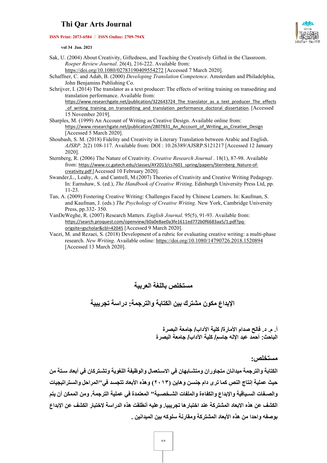#### **ISSN Print: 2073-6584 ︱ ISSN Online: 2709-794X**



 **vol 34 Jan. 2021** 

Sak, U. (2004) About Creativity, Giftedness, and Teaching the Creatively Gifted in the Classroom. *Roeper Review Journal*. 26(4), 216-222. Available from:

<https://doi.org/10.1080/02783190409554272> [Accessed 7 March 2020].

Schaffner, C. and Adab, B. (2000) *Developing Translation Competence*. Amsterdam and Philadelphia, John Benjamins Publishing Co.

Schrijver, I. (2014) The translator as a text producer: The effects of writing training on transediting and translation performance. Available from:

https://www.researchgate.net/publication/322643724 The translator as a text producer The effects [\\_of\\_writing\\_training\\_on\\_transediting\\_and\\_translation\\_performance\\_doctoral\\_dissertation.](https://www.researchgate.net/publication/322643724_The_translator_as_a_text_producer_The_effects_of_writing_training_on_transediting_and_translation_performance_doctoral_dissertation) [Accessed 15 November 2019].

- Sharples, M. (1999) An Account of Writing as Creative Design. Available online from: [https://www.researchgate.net/publication/2807831\\_An\\_Account\\_of\\_Writing\\_as\\_Creative\\_Design](https://www.researchgate.net/publication/2807831_An_Account_of_Writing_as_Creative_Design) [Accessed 5 March 2020].
- Shoubash, S. M. (2018) Fidelity and Creativity in Literary Translation between Arabic and English. *AJSRP*. 2(2) 108-117. Available from: DOI : 10.26389/AJSRP.S121217 [Accessed 12 January 2020].
- Sternberg, R. (2006) The Nature of Creativity. *Creative Research Journal* . 18(1), 87-98. Available from: [https://www.cc.gatech.edu/classes/AY2013/cs7601\\_spring/papers/Sternberg\\_Nature-of](https://www.cc.gatech.edu/classes/AY2013/cs7601_spring/papers/Sternberg_Nature-of-creativity.pdf)[creativity.pdf](https://www.cc.gatech.edu/classes/AY2013/cs7601_spring/papers/Sternberg_Nature-of-creativity.pdf) [Accessed 10 February 2020].
- Swander,L., Leahy, A. and Cantrell, M.(2007) Theories of Creativity and Creative Writing Pedagogy. In: Earnshaw, S. (ed.), *The Handbook of Creative Writing*. Edinburgh University Press Ltd, pp. 11-23.
- Tan, A. (2009) Fostering Creative Writing: Challenges Faced by Chinese Learners. In: Kaufman, S. and Kaufman, J. (eds.) *The Psychology of Creative Writing*. New York, Cambridge University Press, pp.332- 350.
- VanDeWeghe, R. (2007) Research Matters. *English Journal*. 95(5), 91-93. Available from: [https://search.proquest.com/openview/60a0e8ae0a3fe1611ed772b0f6683aa5/1.pdf?pq](https://search.proquest.com/openview/60a0e8ae0a3fe1611ed772b0f6683aa5/1.pdf?pq-origsite=gscholar&cbl=42045)[origsite=gscholar&cbl=42045](https://search.proquest.com/openview/60a0e8ae0a3fe1611ed772b0f6683aa5/1.pdf?pq-origsite=gscholar&cbl=42045) [Accessed 9 March 2020].
- Vaezi, M. and Rezaei, S. (2018) Development of a rubric for evaluating creative writing: a multi-phase research. *New Writing*. Available online:<https://doi.org/10.1080/14790726.2018.1520894> [Accessed 13 March 2020].

### **مستخلص باللغة العربیة**

**الإبداع مكون مشترك بین الكتابة والترجمة: دراسة تجریبیة** 

**أ. م. د. فالح صدام الأ مارة/ كلیة الآداب/ جامعة البصرة الباحث: أحمد عبد الإلھ جاسم/ كلیة الآداب/ جامعة البصرة** 

**مستخلص:**

**الكتابة والترجمة میدانان متجاوران ومتشـابھان في الاسـتعمال والوظیفة اللغویة وتشـتركان في أبعاد سـتة من حیث عملیة إنتاج النص كما ترى دام جنسـن وھاین (۲۰۱۳) وھذه الأبعاد تتجسـد في"المراحل والسـتراتیجیات والصـفات السـیاقیة والإبداع والكفاءة والملفات الشـخصـیة" المعتمدة في عملیة الترجمة. ومن الممكن أن یتم الكشف عن ھذه الابعاد المشتركة عند اختبارھا تجریبیا. وعلیھ أنطلقت ھذه الدراسة لاختبار الكشف عن الإبداع بوصفھ واحدا من ھذه الأبعاد المشتركة ومقارنة سلوكھ بین المیدانین .**